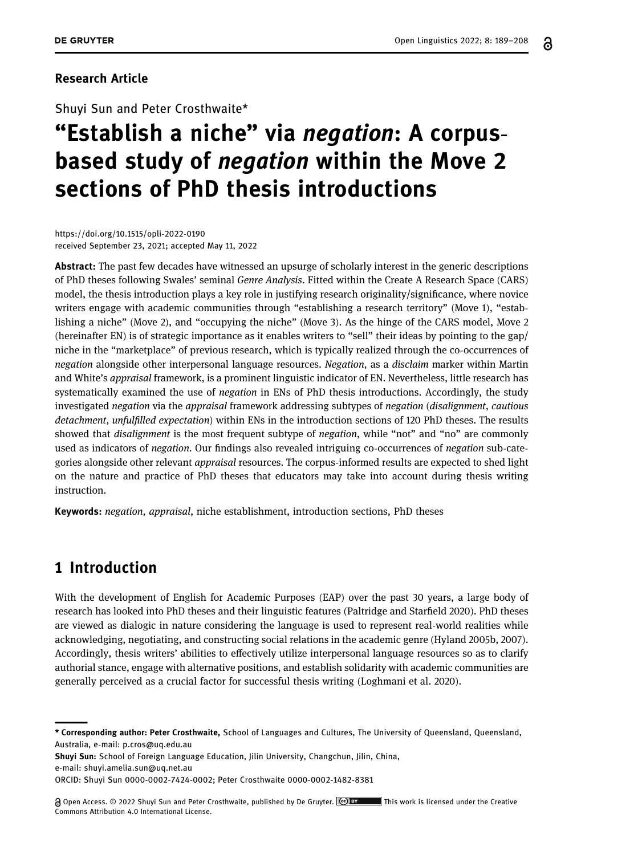႕

### Research Article

Shuyi Sun and Peter Crosthwaite\*

# "Establish a niche" via *negation*: A corpusbased study of negation within the Move 2 sections of PhD thesis introductions

[https://doi.org/10.1515/opli](https://doi.org/10.1515/opli-2022-0190)-2022-0190 received September 23, 2021; accepted May 11, 2022

Abstract: The past few decades have witnessed an upsurge of scholarly interest in the generic descriptions of PhD theses following Swales' seminal Genre Analysis. Fitted within the Create A Research Space (CARS) model, the thesis introduction plays a key role in justifying research originality/significance, where novice writers engage with academic communities through "establishing a research territory" (Move 1), "establishing a niche" (Move 2), and "occupying the niche" (Move 3). As the hinge of the CARS model, Move 2 (hereinafter EN) is of strategic importance as it enables writers to "sell" their ideas by pointing to the gap/ niche in the "marketplace" of previous research, which is typically realized through the co-occurrences of negation alongside other interpersonal language resources. Negation, as a disclaim marker within Martin and White's appraisal framework, is a prominent linguistic indicator of EN. Nevertheless, little research has systematically examined the use of *negation* in ENs of PhD thesis introductions. Accordingly, the study investigated negation via the appraisal framework addressing subtypes of negation (disalignment, cautious detachment, unfulfilled expectation) within ENs in the introduction sections of 120 PhD theses. The results showed that *disalignment* is the most frequent subtype of *negation*, while "not" and "no" are commonly used as indicators of negation. Our findings also revealed intriguing co-occurrences of negation sub-categories alongside other relevant appraisal resources. The corpus-informed results are expected to shed light on the nature and practice of PhD theses that educators may take into account during thesis writing instruction.

Keywords: negation, appraisal, niche establishment, introduction sections, PhD theses

# 1 Introduction

With the development of English for Academic Purposes (EAP) over the past 30 years, a large body of research has looked into PhD theses and their linguistic features (Paltridge and Starfield [2020](#page-18-0)). PhD theses are viewed as dialogic in nature considering the language is used to represent real-world realities while acknowledging, negotiating, and constructing social relations in the academic genre (Hyland [2005b,](#page-18-1) [2007](#page-18-2)). Accordingly, thesis writers' abilities to effectively utilize interpersonal language resources so as to clarify authorial stance, engage with alternative positions, and establish solidarity with academic communities are generally perceived as a crucial factor for successful thesis writing (Loghmani et al. [2020](#page-18-3)).

Shuyi Sun: School of Foreign Language Education, Jilin University, Changchun, Jilin, China,

e-mail: [shuyi.amelia.sun@uq.net.au](mailto:shuyi.amelia.sun@uq.net.au)

ORCID: Shuyi Su[n 0000](http://orcid.org/0000-0002-7424-0002)-0002-7424-0002; Peter Crosthwait[e 0000](http://orcid.org/0000-0002-1482-8381)-0002-1482-8381

<sup>\*</sup> Corresponding author: Peter Crosthwaite, School of Languages and Cultures, The University of Queensland, Queensland, Australia, e-mail: [p.cros@uq.edu.au](mailto:p.cros@uq.edu.au)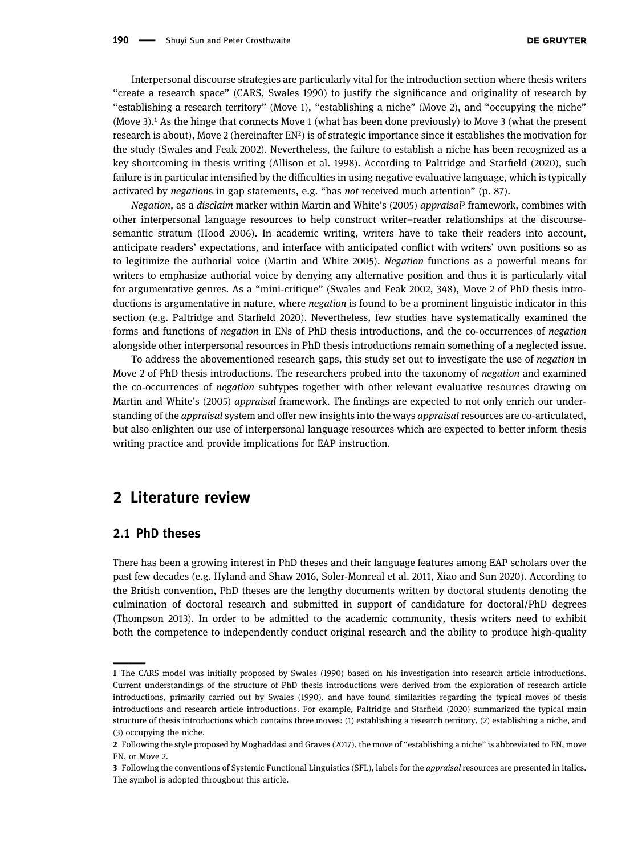Interpersonal discourse strategies are particularly vital for the introduction section where thesis writers "create a research space" (CARS, Swales [1990](#page-19-0)) to justify the significance and originality of research by "establishing a research territory" (Move 1), "establishing a niche" (Move 2), and "occupying the niche" (Move 3).<sup>1</sup> As the hinge that connects Move 1 (what has been done previously) to Move 3 (what the present research is about), Move 2 (hereinafter EN[²](#page-1-1)) is of strategic importance since it establishes the motivation for the study (Swales and Feak [2002](#page-19-1)). Nevertheless, the failure to establish a niche has been recognized as a key shortcoming in thesis writing (Allison et al. [1998](#page-17-0)). According to Paltridge and Starfield ([2020](#page-18-0)), such failure is in particular intensified by the difficulties in using negative evaluative language, which is typically activated by negations in gap statements, e.g. "has not received much attention" (p. 87).

Negation, as a disclaim marker within Martin and White's ([2005](#page-18-4)) appraisal<sup>3</sup> framework, combines with other interpersonal language resources to help construct writer–reader relationships at the discoursesemantic stratum (Hood [2006](#page-18-5)). In academic writing, writers have to take their readers into account, anticipate readers' expectations, and interface with anticipated conflict with writers' own positions so as to legitimize the authorial voice (Martin and White [2005](#page-18-4)). Negation functions as a powerful means for writers to emphasize authorial voice by denying any alternative position and thus it is particularly vital for argumentative genres. As a "mini-critique" (Swales and Feak [2002](#page-19-1), 348), Move 2 of PhD thesis introductions is argumentative in nature, where negation is found to be a prominent linguistic indicator in this section (e.g. Paltridge and Starfield [2020](#page-18-0)). Nevertheless, few studies have systematically examined the forms and functions of negation in ENs of PhD thesis introductions, and the co-occurrences of negation alongside other interpersonal resources in PhD thesis introductions remain something of a neglected issue.

To address the abovementioned research gaps, this study set out to investigate the use of negation in Move 2 of PhD thesis introductions. The researchers probed into the taxonomy of *negation* and examined the co-occurrences of negation subtypes together with other relevant evaluative resources drawing on Martin and White's ([2005](#page-18-4)) appraisal framework. The findings are expected to not only enrich our understanding of the appraisal system and offer new insights into the ways appraisal resources are co-articulated, but also enlighten our use of interpersonal language resources which are expected to better inform thesis writing practice and provide implications for EAP instruction.

# 2 Literature review

### 2.1 PhD theses

<span id="page-1-0"></span>

There has been a growing interest in PhD theses and their language features among EAP scholars over the past few decades (e.g. Hyland and Shaw [2016](#page-18-6), Soler-Monreal et al. [2011,](#page-19-2) Xiao and Sun [2020](#page-19-3)). According to the British convention, PhD theses are the lengthy documents written by doctoral students denoting the culmination of doctoral research and submitted in support of candidature for doctoral/PhD degrees (Thompson [2013](#page-19-4)). In order to be admitted to the academic community, thesis writers need to exhibit both the competence to independently conduct original research and the ability to produce high-quality

<sup>1</sup> The CARS model was initially proposed by Swales ([1990](#page-19-0)) based on his investigation into research article introductions. Current understandings of the structure of PhD thesis introductions were derived from the exploration of research article introductions, primarily carried out by Swales ([1990](#page-19-0)), and have found similarities regarding the typical moves of thesis introductions and research article introductions. For example, Paltridge and Starfield ([2020](#page-18-0)) summarized the typical main structure of thesis introductions which contains three moves: (1) establishing a research territory, (2) establishing a niche, and (3) occupying the niche.

<span id="page-1-1"></span><sup>2</sup> Following the style proposed by Moghaddasi and Graves ([2017](#page-18-7)), the move of "establishing a niche" is abbreviated to EN, move EN, or Move 2.

<span id="page-1-2"></span><sup>3</sup> Following the conventions of Systemic Functional Linguistics (SFL), labels for the appraisal resources are presented in italics. The symbol is adopted throughout this article.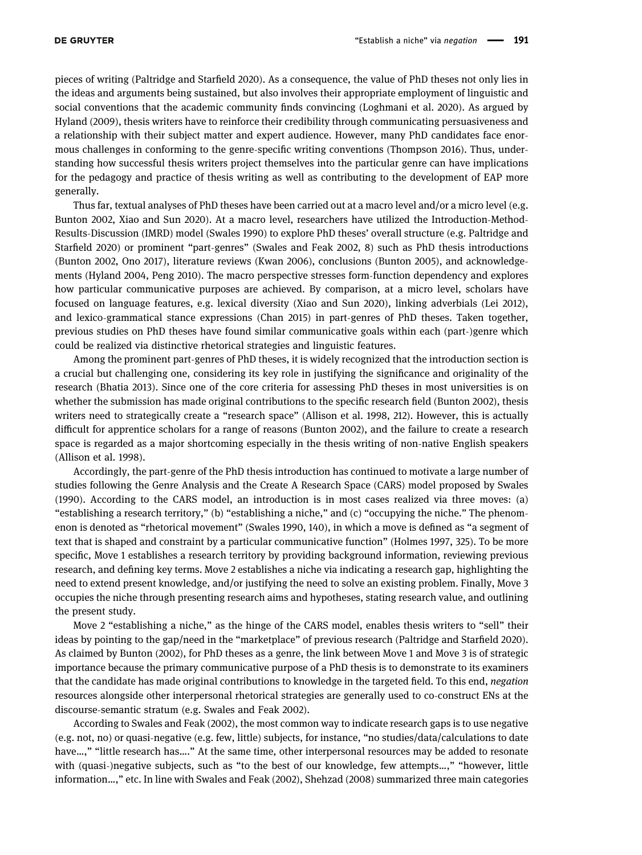pieces of writing (Paltridge and Starfield [2020](#page-18-0)). As a consequence, the value of PhD theses not only lies in the ideas and arguments being sustained, but also involves their appropriate employment of linguistic and social conventions that the academic community finds convincing (Loghmani et al. [2020](#page-18-3)). As argued by Hyland ([2009](#page-18-8)), thesis writers have to reinforce their credibility through communicating persuasiveness and a relationship with their subject matter and expert audience. However, many PhD candidates face enormous challenges in conforming to the genre-specific writing conventions (Thompson [2016](#page-19-5)). Thus, understanding how successful thesis writers project themselves into the particular genre can have implications for the pedagogy and practice of thesis writing as well as contributing to the development of EAP more generally.

Thus far, textual analyses of PhD theses have been carried out at a macro level and/or a micro level (e.g. Bunton [2002](#page-17-1), Xiao and Sun [2020](#page-19-3)). At a macro level, researchers have utilized the Introduction-Method-Results-Discussion (IMRD) model (Swales [1990](#page-19-0)) to explore PhD theses' overall structure (e.g. Paltridge and Starfield [2020](#page-18-0)) or prominent "part-genres" (Swales and Feak [2002](#page-19-1), 8) such as PhD thesis introductions (Bunton [2002](#page-17-1), Ono [2017](#page-18-9)), literature reviews (Kwan [2006](#page-18-10)), conclusions (Bunton [2005](#page-17-2)), and acknowledgements (Hyland [2004](#page-18-11), Peng [2010](#page-19-6)). The macro perspective stresses form-function dependency and explores how particular communicative purposes are achieved. By comparison, at a micro level, scholars have focused on language features, e.g. lexical diversity (Xiao and Sun [2020](#page-19-3)), linking adverbials (Lei [2012](#page-18-12)), and lexico-grammatical stance expressions (Chan [2015](#page-17-3)) in part-genres of PhD theses. Taken together, previous studies on PhD theses have found similar communicative goals within each (part-)genre which could be realized via distinctive rhetorical strategies and linguistic features.

Among the prominent part-genres of PhD theses, it is widely recognized that the introduction section is a crucial but challenging one, considering its key role in justifying the significance and originality of the research (Bhatia [2013](#page-17-4)). Since one of the core criteria for assessing PhD theses in most universities is on whether the submission has made original contributions to the specific research field (Bunton [2002](#page-17-1)), thesis writers need to strategically create a "research space" (Allison et al. [1998](#page-17-0), 212). However, this is actually difficult for apprentice scholars for a range of reasons (Bunton [2002](#page-17-1)), and the failure to create a research space is regarded as a major shortcoming especially in the thesis writing of non-native English speakers (Allison et al. [1998](#page-17-0)).

Accordingly, the part-genre of the PhD thesis introduction has continued to motivate a large number of studies following the Genre Analysis and the Create A Research Space (CARS) model proposed by Swales ([1990](#page-19-0)). According to the CARS model, an introduction is in most cases realized via three moves: (a) "establishing a research territory," (b) "establishing a niche," and (c) "occupying the niche." The phenomenon is denoted as "rhetorical movement" (Swales [1990](#page-19-0), 140), in which a move is defined as "a segment of text that is shaped and constraint by a particular communicative function" (Holmes [1997,](#page-18-13) 325). To be more specific, Move 1 establishes a research territory by providing background information, reviewing previous research, and defining key terms. Move 2 establishes a niche via indicating a research gap, highlighting the need to extend present knowledge, and/or justifying the need to solve an existing problem. Finally, Move 3 occupies the niche through presenting research aims and hypotheses, stating research value, and outlining the present study.

Move 2 "establishing a niche," as the hinge of the CARS model, enables thesis writers to "sell" their ideas by pointing to the gap/need in the "marketplace" of previous research (Paltridge and Starfield [2020](#page-18-0)). As claimed by Bunton ([2002](#page-17-1)), for PhD theses as a genre, the link between Move 1 and Move 3 is of strategic importance because the primary communicative purpose of a PhD thesis is to demonstrate to its examiners that the candidate has made original contributions to knowledge in the targeted field. To this end, negation resources alongside other interpersonal rhetorical strategies are generally used to co-construct ENs at the discourse-semantic stratum (e.g. Swales and Feak [2002](#page-19-1)).

According to Swales and Feak ([2002](#page-19-1)), the most common way to indicate research gaps is to use negative (e.g. not, no) or quasi-negative (e.g. few, little) subjects, for instance, "no studies/data/calculations to date have...," "little research has...." At the same time, other interpersonal resources may be added to resonate with (quasi-)negative subjects, such as "to the best of our knowledge, few attempts…," "however, little information…," etc. In line with Swales and Feak ([2002](#page-19-1)), Shehzad ([2008](#page-19-7)) summarized three main categories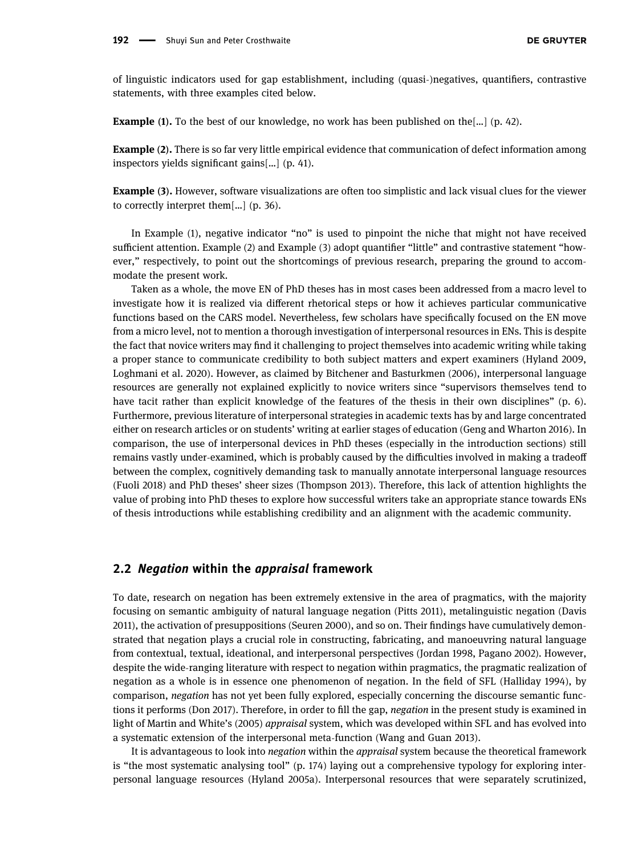of linguistic indicators used for gap establishment, including (quasi-)negatives, quantifiers, contrastive statements, with three examples cited below.

**Example (1).** To the best of our knowledge, no work has been published on the[...] (p. 42).

Example (2). There is so far very little empirical evidence that communication of defect information among inspectors yields significant gains[…] (p. 41).

Example (3). However, software visualizations are often too simplistic and lack visual clues for the viewer to correctly interpret them[…] (p. 36).

In Example (1), negative indicator "no" is used to pinpoint the niche that might not have received sufficient attention. Example (2) and Example (3) adopt quantifier "little" and contrastive statement "however," respectively, to point out the shortcomings of previous research, preparing the ground to accommodate the present work.

Taken as a whole, the move EN of PhD theses has in most cases been addressed from a macro level to investigate how it is realized via different rhetorical steps or how it achieves particular communicative functions based on the CARS model. Nevertheless, few scholars have specifically focused on the EN move from a micro level, not to mention a thorough investigation of interpersonal resources in ENs. This is despite the fact that novice writers may find it challenging to project themselves into academic writing while taking a proper stance to communicate credibility to both subject matters and expert examiners (Hyland [2009](#page-18-8), Loghmani et al. [2020](#page-18-3)). However, as claimed by Bitchener and Basturkmen ([2006](#page-17-5)), interpersonal language resources are generally not explained explicitly to novice writers since "supervisors themselves tend to have tacit rather than explicit knowledge of the features of the thesis in their own disciplines" (p. 6). Furthermore, previous literature of interpersonal strategies in academic texts has by and large concentrated either on research articles or on students' writing at earlier stages of education (Geng and Wharton [2016](#page-18-14)). In comparison, the use of interpersonal devices in PhD theses (especially in the introduction sections) still remains vastly under-examined, which is probably caused by the difficulties involved in making a tradeoff between the complex, cognitively demanding task to manually annotate interpersonal language resources (Fuoli [2018](#page-18-15)) and PhD theses' sheer sizes (Thompson [2013](#page-19-4)). Therefore, this lack of attention highlights the value of probing into PhD theses to explore how successful writers take an appropriate stance towards ENs of thesis introductions while establishing credibility and an alignment with the academic community.

### 2.2 Negation within the appraisal framework

To date, research on negation has been extremely extensive in the area of pragmatics, with the majority focusing on semantic ambiguity of natural language negation (Pitts [2011](#page-19-8)), metalinguistic negation (Davis [2011](#page-18-16)), the activation of presuppositions (Seuren [2000](#page-19-9)), and so on. Their findings have cumulatively demonstrated that negation plays a crucial role in constructing, fabricating, and manoeuvring natural language from contextual, textual, ideational, and interpersonal perspectives (Jordan [1998,](#page-18-17) Pagano [2002](#page-18-18)). However, despite the wide-ranging literature with respect to negation within pragmatics, the pragmatic realization of negation as a whole is in essence one phenomenon of negation. In the field of SFL (Halliday [1994](#page-18-19)), by comparison, negation has not yet been fully explored, especially concerning the discourse semantic functions it performs (Don [2017](#page-18-20)). Therefore, in order to fill the gap, negation in the present study is examined in light of Martin and White's ([2005](#page-18-4)) appraisal system, which was developed within SFL and has evolved into a systematic extension of the interpersonal meta-function (Wang and Guan [2013](#page-19-10)).

It is advantageous to look into negation within the appraisal system because the theoretical framework is "the most systematic analysing tool" (p. 174) laying out a comprehensive typology for exploring interpersonal language resources (Hyland [2005a](#page-18-21)). Interpersonal resources that were separately scrutinized,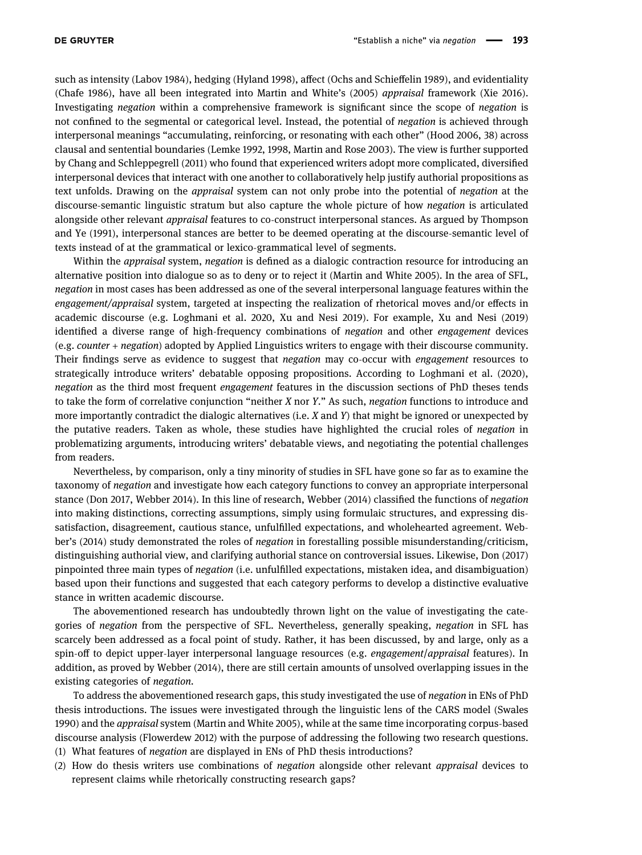such as intensity (Labov [1984](#page-18-22)), hedging (Hyland [1998](#page-18-23)), affect (Ochs and Schieffelin [1989](#page-18-24)), and evidentiality (Chafe [1986](#page-17-6)), have all been integrated into Martin and White's ([2005](#page-18-4)) appraisal framework (Xie [2016](#page-19-11)). Investigating negation within a comprehensive framework is significant since the scope of negation is not confined to the segmental or categorical level. Instead, the potential of negation is achieved through interpersonal meanings "accumulating, reinforcing, or resonating with each other" (Hood [2006,](#page-18-5) 38) across clausal and sentential boundaries (Lemke [1992](#page-18-25), [1998](#page-18-26), Martin and Rose [2003](#page-18-27)). The view is further supported by Chang and Schleppegrell ([2011](#page-17-7)) who found that experienced writers adopt more complicated, diversified interpersonal devices that interact with one another to collaboratively help justify authorial propositions as text unfolds. Drawing on the appraisal system can not only probe into the potential of negation at the discourse-semantic linguistic stratum but also capture the whole picture of how negation is articulated alongside other relevant appraisal features to co-construct interpersonal stances. As argued by Thompson and Ye ([1991](#page-19-12)), interpersonal stances are better to be deemed operating at the discourse-semantic level of texts instead of at the grammatical or lexico-grammatical level of segments.

Within the *appraisal* system, *negation* is defined as a dialogic contraction resource for introducing an alternative position into dialogue so as to deny or to reject it (Martin and White [2005](#page-18-4)). In the area of SFL, negation in most cases has been addressed as one of the several interpersonal language features within the engagement/appraisal system, targeted at inspecting the realization of rhetorical moves and/or effects in academic discourse (e.g. Loghmani et al. [2020,](#page-18-3) Xu and Nesi [2019](#page-19-13)). For example, Xu and Nesi ([2019](#page-19-13)) identified a diverse range of high-frequency combinations of negation and other engagement devices (e.g. counter + negation) adopted by Applied Linguistics writers to engage with their discourse community. Their findings serve as evidence to suggest that *negation* may co-occur with *engagement* resources to strategically introduce writers' debatable opposing propositions. According to Loghmani et al. ([2020](#page-18-3)), negation as the third most frequent engagement features in the discussion sections of PhD theses tends to take the form of correlative conjunction "neither  $X$  nor  $Y$ ." As such, negation functions to introduce and more importantly contradict the dialogic alternatives (i.e. X and Y) that might be ignored or unexpected by the putative readers. Taken as whole, these studies have highlighted the crucial roles of *negation* in problematizing arguments, introducing writers' debatable views, and negotiating the potential challenges from readers.

Nevertheless, by comparison, only a tiny minority of studies in SFL have gone so far as to examine the taxonomy of negation and investigate how each category functions to convey an appropriate interpersonal stance (Don [2017,](#page-18-20) Webber [2014](#page-19-14)). In this line of research, Webber ([2014](#page-19-14)) classified the functions of negation into making distinctions, correcting assumptions, simply using formulaic structures, and expressing dissatisfaction, disagreement, cautious stance, unfulfilled expectations, and wholehearted agreement. Webber's ([2014](#page-19-14)) study demonstrated the roles of negation in forestalling possible misunderstanding/criticism, distinguishing authorial view, and clarifying authorial stance on controversial issues. Likewise, Don ([2017](#page-18-20)) pinpointed three main types of negation (i.e. unfulfilled expectations, mistaken idea, and disambiguation) based upon their functions and suggested that each category performs to develop a distinctive evaluative stance in written academic discourse.

The abovementioned research has undoubtedly thrown light on the value of investigating the categories of negation from the perspective of SFL. Nevertheless, generally speaking, negation in SFL has scarcely been addressed as a focal point of study. Rather, it has been discussed, by and large, only as a spin-off to depict upper-layer interpersonal language resources (e.g. engagement/appraisal features). In addition, as proved by Webber ([2014](#page-19-14)), there are still certain amounts of unsolved overlapping issues in the existing categories of negation.

To address the abovementioned research gaps, this study investigated the use of negation in ENs of PhD thesis introductions. The issues were investigated through the linguistic lens of the CARS model (Swales [1990](#page-19-0)) and the *appraisal* system (Martin and White [2005](#page-18-4)), while at the same time incorporating corpus-based discourse analysis (Flowerdew [2012](#page-18-28)) with the purpose of addressing the following two research questions.

- (1) What features of negation are displayed in ENs of PhD thesis introductions?
- (2) How do thesis writers use combinations of negation alongside other relevant appraisal devices to represent claims while rhetorically constructing research gaps?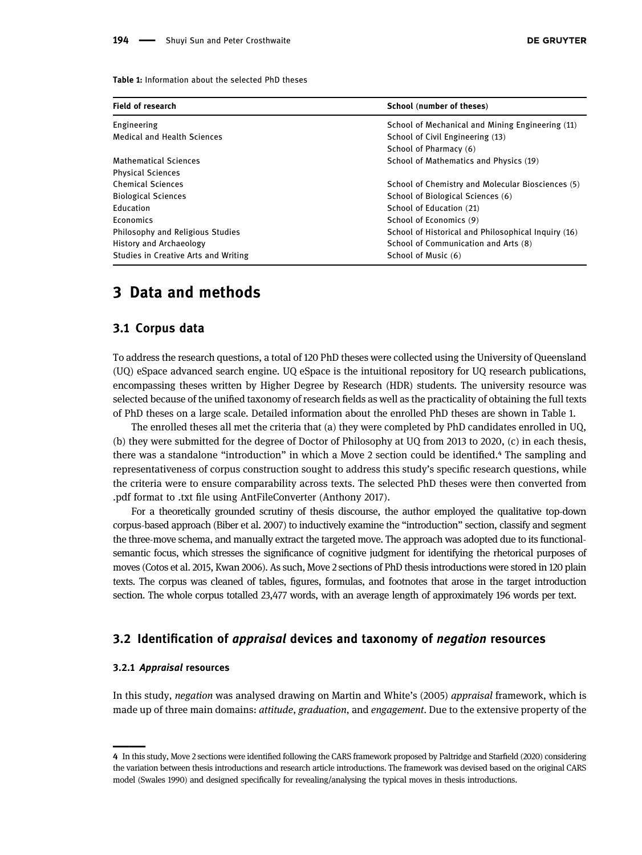<span id="page-5-0"></span>Table 1: Information about the selected PhD theses

| <b>Field of research</b>                | School (number of theses)                           |  |
|-----------------------------------------|-----------------------------------------------------|--|
| Engineering                             | School of Mechanical and Mining Engineering (11)    |  |
| <b>Medical and Health Sciences</b>      | School of Civil Engineering (13)                    |  |
|                                         | School of Pharmacy (6)                              |  |
| Mathematical Sciences                   | School of Mathematics and Physics (19)              |  |
| <b>Physical Sciences</b>                |                                                     |  |
| <b>Chemical Sciences</b>                | School of Chemistry and Molecular Biosciences (5)   |  |
| <b>Biological Sciences</b>              | School of Biological Sciences (6)                   |  |
| Education                               | School of Education (21)                            |  |
| Economics                               | School of Economics (9)                             |  |
| <b>Philosophy and Religious Studies</b> | School of Historical and Philosophical Inquiry (16) |  |
| <b>History and Archaeology</b>          | School of Communication and Arts (8)                |  |
| Studies in Creative Arts and Writing    | School of Music (6)                                 |  |

# 3 Data and methods

### 3.1 Corpus data

To address the research questions, a total of 120 PhD theses were collected using the University of Queensland (UQ) eSpace advanced search engine. UQ eSpace is the intuitional repository for UQ research publications, encompassing theses written by Higher Degree by Research (HDR) students. The university resource was selected because of the unified taxonomy of research fields as well as the practicality of obtaining the full texts of PhD theses on a large scale. Detailed information about the enrolled PhD theses are shown in [Table 1.](#page-5-0)

The enrolled theses all met the criteria that (a) they were completed by PhD candidates enrolled in UQ, (b) they were submitted for the degree of Doctor of Philosophy at UQ from 2013 to 2020, (c) in each thesis, there was a standalone "introduction" in which a Move 2 section could be identified.<sup>4</sup> The sampling and representativeness of corpus construction sought to address this study's specific research questions, while the criteria were to ensure comparability across texts. The selected PhD theses were then converted from .pdf format to .txt file using AntFileConverter (Anthony [2017](#page-17-8)).

For a theoretically grounded scrutiny of thesis discourse, the author employed the qualitative top-down corpus-based approach (Biber et al. [2007](#page-17-9)) to inductively examine the "introduction" section, classify and segment the three-move schema, and manually extract the targeted move. The approach was adopted due to its functionalsemantic focus, which stresses the significance of cognitive judgment for identifying the rhetorical purposes of moves (Cotos et al. [2015](#page-17-10), Kwan [2006](#page-18-10)). As such, Move 2 sections of PhD thesis introductions were stored in 120 plain texts. The corpus was cleaned of tables, figures, formulas, and footnotes that arose in the target introduction section. The whole corpus totalled 23,477 words, with an average length of approximately 196 words per text.

#### 3.2 Identification of appraisal devices and taxonomy of negation resources

#### 3.2.1 Appraisal resources

<span id="page-5-1"></span>

In this study, negation was analysed drawing on Martin and White's ([2005](#page-18-4)) appraisal framework, which is made up of three main domains: *attitude, graduation*, and *engagement*. Due to the extensive property of the

<sup>4</sup> In this study, Move 2 sections were identified following the CARS framework proposed by Paltridge and Starfield ([2020](#page-18-0)) considering the variation between thesis introductions and research article introductions. The framework was devised based on the original CARS model (Swales [1990](#page-19-0)) and designed specifically for revealing/analysing the typical moves in thesis introductions.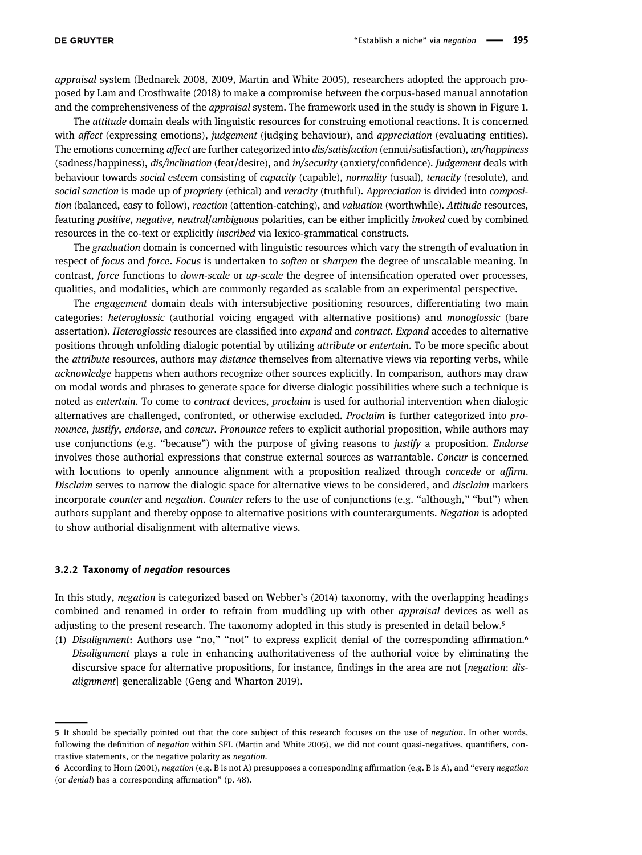appraisal system (Bednarek [2008](#page-17-11), [2009](#page-17-12), Martin and White [2005](#page-18-4)), researchers adopted the approach proposed by Lam and Crosthwaite ([2018](#page-18-29)) to make a compromise between the corpus-based manual annotation and the comprehensiveness of the *appraisal* system. The framework used in the study is shown in [Figure 1.](#page-7-0)

The attitude domain deals with linguistic resources for construing emotional reactions. It is concerned with affect (expressing emotions), judgement (judging behaviour), and appreciation (evaluating entities). The emotions concerning affect are further categorized into dis/satisfaction (ennui/satisfaction), un/happiness (sadness/happiness), dis/inclination (fear/desire), and in/security (anxiety/confidence). Judgement deals with behaviour towards social esteem consisting of capacity (capable), normality (usual), tenacity (resolute), and social sanction is made up of propriety (ethical) and veracity (truthful). Appreciation is divided into composition (balanced, easy to follow), reaction (attention-catching), and valuation (worthwhile). Attitude resources, featuring positive, negative, neutral/ambiguous polarities, can be either implicitly invoked cued by combined resources in the co-text or explicitly inscribed via lexico-grammatical constructs.

The graduation domain is concerned with linguistic resources which vary the strength of evaluation in respect of focus and force. Focus is undertaken to soften or sharpen the degree of unscalable meaning. In contrast, force functions to down-scale or up-scale the degree of intensification operated over processes, qualities, and modalities, which are commonly regarded as scalable from an experimental perspective.

The engagement domain deals with intersubjective positioning resources, differentiating two main categories: heteroglossic (authorial voicing engaged with alternative positions) and monoglossic (bare assertation). Heteroglossic resources are classified into expand and contract. Expand accedes to alternative positions through unfolding dialogic potential by utilizing attribute or entertain. To be more specific about the *attribute* resources, authors may *distance* themselves from alternative views via reporting verbs, while acknowledge happens when authors recognize other sources explicitly. In comparison, authors may draw on modal words and phrases to generate space for diverse dialogic possibilities where such a technique is noted as entertain. To come to contract devices, proclaim is used for authorial intervention when dialogic alternatives are challenged, confronted, or otherwise excluded. Proclaim is further categorized into pronounce, justify, endorse, and concur. Pronounce refers to explicit authorial proposition, while authors may use conjunctions (e.g. "because") with the purpose of giving reasons to *justify* a proposition. *Endorse* involves those authorial expressions that construe external sources as warrantable. Concur is concerned with locutions to openly announce alignment with a proposition realized through *concede* or *affirm*. Disclaim serves to narrow the dialogic space for alternative views to be considered, and disclaim markers incorporate *counter* and *negation. Counter* refers to the use of conjunctions (e.g. "although," "but") when authors supplant and thereby oppose to alternative positions with counterarguments. Negation is adopted to show authorial disalignment with alternative views.

#### 3.2.2 Taxonomy of negation resources

<span id="page-6-0"></span>

In this study, negation is categorized based on Webber's ([2014](#page-19-14)) taxonomy, with the overlapping headings combined and renamed in order to refrain from muddling up with other appraisal devices as well as adjusting to the present research. The taxonomy adopted in this study is presented in detail below.<sup>5</sup>

(1) Disalignment: Authors use "no," "not" to express explicit denial of the corresponding affirmation. $\epsilon$ Disalignment plays a role in enhancing authoritativeness of the authorial voice by eliminating the discursive space for alternative propositions, for instance, findings in the area are not [negation: disalignment] generalizable (Geng and Wharton [2019](#page-18-30)).

<sup>5</sup> It should be specially pointed out that the core subject of this research focuses on the use of negation. In other words, following the definition of negation within SFL (Martin and White [2005](#page-18-4)), we did not count quasi-negatives, quantifiers, contrastive statements, or the negative polarity as negation.

<span id="page-6-1"></span><sup>6</sup> According to Horn ([2001](#page-18-31)), negation (e.g. B is not A) presupposes a corresponding affirmation (e.g. B is A), and "every negation (or denial) has a corresponding affirmation" (p. 48).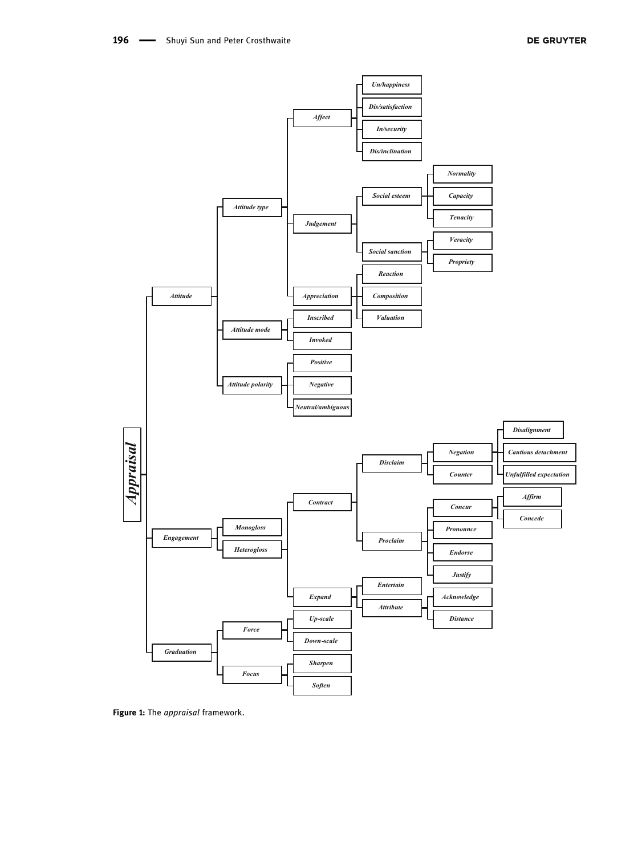<span id="page-7-0"></span>

Figure 1: The appraisal framework.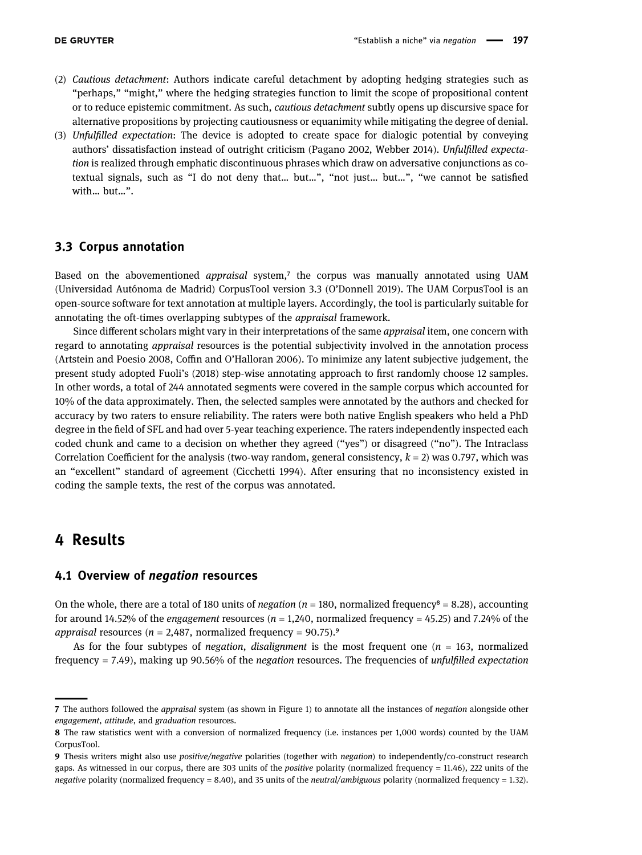- (2) Cautious detachment: Authors indicate careful detachment by adopting hedging strategies such as "perhaps," "might," where the hedging strategies function to limit the scope of propositional content or to reduce epistemic commitment. As such, cautious detachment subtly opens up discursive space for alternative propositions by projecting cautiousness or equanimity while mitigating the degree of denial.
- (3) Unfulfilled expectation: The device is adopted to create space for dialogic potential by conveying authors' dissatisfaction instead of outright criticism (Pagano [2002,](#page-18-18) Webber [2014](#page-19-14)). Unfulfilled expectation is realized through emphatic discontinuous phrases which draw on adversative conjunctions as cotextual signals, such as "I do not deny that… but…", "not just… but…", "we cannot be satisfied with… but…".

### 3.3 Corpus annotation

Based on the abovementioned *appraisal* system, $\bar{z}$  the corpus was manually annotated using UAM (Universidad Autónoma de Madrid) CorpusTool version 3.3 (O'Donnell [2019](#page-18-32)). The UAM CorpusTool is an open-source software for text annotation at multiple layers. Accordingly, the tool is particularly suitable for annotating the oft-times overlapping subtypes of the appraisal framework.

Since different scholars might vary in their interpretations of the same appraisal item, one concern with regard to annotating appraisal resources is the potential subjectivity involved in the annotation process (Artstein and Poesio [2008](#page-17-13), Coffin and O'Halloran [2006](#page-17-14)). To minimize any latent subjective judgement, the present study adopted Fuoli's ([2018](#page-18-15)) step-wise annotating approach to first randomly choose 12 samples. In other words, a total of 244 annotated segments were covered in the sample corpus which accounted for 10% of the data approximately. Then, the selected samples were annotated by the authors and checked for accuracy by two raters to ensure reliability. The raters were both native English speakers who held a PhD degree in the field of SFL and had over 5-year teaching experience. The raters independently inspected each coded chunk and came to a decision on whether they agreed ("yes") or disagreed ("no"). The Intraclass Correlation Coefficient for the analysis (two-way random, general consistency,  $k = 2$ ) was 0.797, which was an "excellent" standard of agreement (Cicchetti [1994](#page-17-15)). After ensuring that no inconsistency existed in coding the sample texts, the rest of the corpus was annotated.

## 4 Results

<span id="page-8-0"></span>

### 4.1 Overview of negation resources

On the whole, there are a total of 180 units of *negation* ( $n = 180$ , normalized frequency<sup>8</sup> = 8.28), accounting for around 14.52% of the *engagement* resources ( $n = 1,240$ , normalized frequency = 45.25) and 7.24% of the appraisal resources ( $n = 2,487$ , normalized frequency = 90.75).<sup>9</sup>

As for the four subtypes of *negation, disalignment* is the most frequent one ( $n = 163$ , normalized frequency  $= 7.49$ ), making up 90.56% of the *negation* resources. The frequencies of *unfulfilled expectation* 

<sup>7</sup> The authors followed the *appraisal* system (as shown in [Figure 1](#page-7-0)) to annotate all the instances of *negation* alongside other engagement, attitude, and graduation resources.

<span id="page-8-1"></span><sup>8</sup> The raw statistics went with a conversion of normalized frequency (i.e. instances per 1,000 words) counted by the UAM CorpusTool.

<span id="page-8-2"></span><sup>9</sup> Thesis writers might also use positive/negative polarities (together with negation) to independently/co-construct research gaps. As witnessed in our corpus, there are 303 units of the positive polarity (normalized frequency = 11.46), 222 units of the negative polarity (normalized frequency = 8.40), and 35 units of the neutral/ambiguous polarity (normalized frequency = 1.32).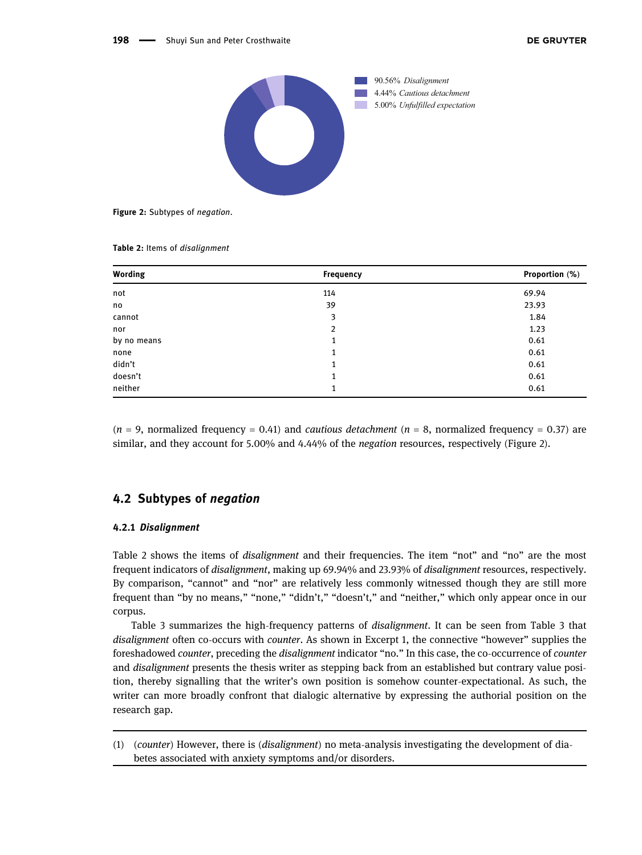<span id="page-9-0"></span>

Figure 2: Subtypes of negation.

<span id="page-9-1"></span>

|  |  | Table 2: Items of disalignment |
|--|--|--------------------------------|
|--|--|--------------------------------|

| Wording     | Frequency | Proportion (%) |
|-------------|-----------|----------------|
| not         | 114       | 69.94          |
| no          | 39        | 23.93          |
| cannot      | 3         | 1.84           |
| nor         | 2         | 1.23           |
| by no means | 1         | 0.61           |
| none        | 1         | 0.61           |
| didn't      | 1         | 0.61           |
| doesn't     | 1         | 0.61           |
| neither     | 1         | 0.61           |

 $(n = 9,$  normalized frequency = 0.41) and *cautious detachment*  $(n = 8,$  normalized frequency = 0.37) are similar, and they account for 5.00% and 4.44% of the negation resources, respectively ([Figure 2](#page-9-0)).

### 4.2 Subtypes of negation

#### 4.2.1 Disalignment

[Table 2](#page-9-1) shows the items of disalignment and their frequencies. The item "not" and "no" are the most frequent indicators of disalignment, making up 69.94% and 23.93% of disalignment resources, respectively. By comparison, "cannot" and "nor" are relatively less commonly witnessed though they are still more frequent than "by no means," "none," "didn't," "doesn't," and "neither," which only appear once in our corpus.

[Table 3](#page-10-0) summarizes the high-frequency patterns of disalignment. It can be seen from [Table 3](#page-10-0) that disalignment often co-occurs with *counter*. As shown in Excerpt 1, the connective "however" supplies the foreshadowed counter, preceding the disalignment indicator "no." In this case, the co-occurrence of counter and disalignment presents the thesis writer as stepping back from an established but contrary value position, thereby signalling that the writer's own position is somehow counter-expectational. As such, the writer can more broadly confront that dialogic alternative by expressing the authorial position on the research gap.

(1) (counter) However, there is (disalignment) no meta-analysis investigating the development of diabetes associated with anxiety symptoms and/or disorders.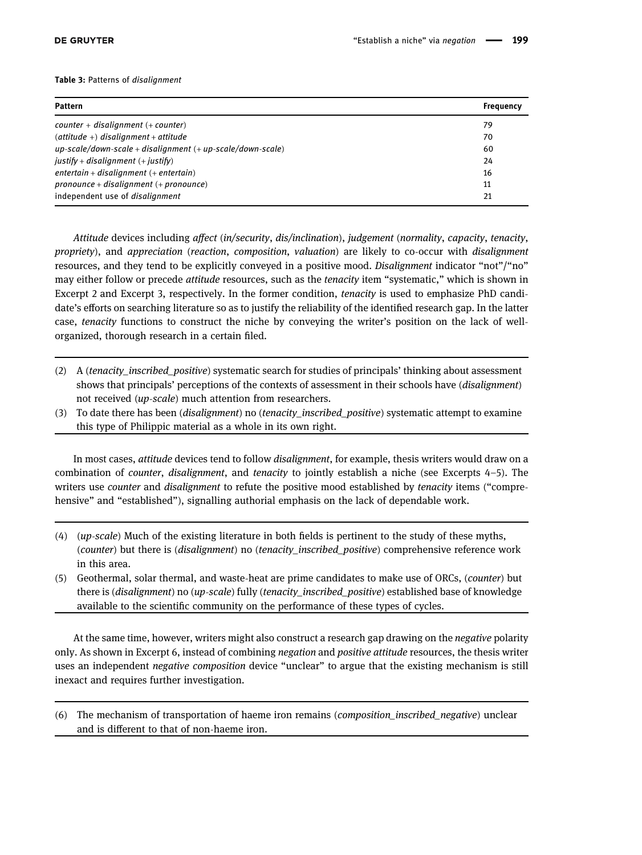#### <span id="page-10-0"></span>Table 3: Patterns of disalignment

| Pattern                                                             | Frequency |
|---------------------------------------------------------------------|-----------|
| $counter + disalignment (+ counter)$                                | 79        |
| $(\textit{attitude} + \textit{d} is alignment + \textit{attitude})$ | 70        |
| $up-scale/down-scale + disalignment (+ up-scale/down-scale)$        | 60        |
| $justify + disalignment (+ justify)$                                | 24        |
| $entertain + disalignment (+ entertain)$                            | 16        |
| pronounce + disalignment $(+)$ pronounce)                           | 11        |
| independent use of <i>disalignment</i>                              | 21        |

Attitude devices including affect (in/security, dis/inclination), judgement (normality, capacity, tenacity, propriety), and appreciation (reaction, composition, valuation) are likely to co-occur with disalignment resources, and they tend to be explicitly conveyed in a positive mood. Disalignment indicator "not"/"no" may either follow or precede attitude resources, such as the tenacity item "systematic," which is shown in Excerpt 2 and Excerpt 3, respectively. In the former condition, tenacity is used to emphasize PhD candidate's efforts on searching literature so as to justify the reliability of the identified research gap. In the latter case, tenacity functions to construct the niche by conveying the writer's position on the lack of wellorganized, thorough research in a certain filed.

- (2) A (tenacity inscribed positive) systematic search for studies of principals' thinking about assessment shows that principals' perceptions of the contexts of assessment in their schools have (disalignment) not received (up-scale) much attention from researchers.
- (3) To date there has been (disalignment) no (tenacity\_inscribed\_positive) systematic attempt to examine this type of Philippic material as a whole in its own right.

In most cases, attitude devices tend to follow disalignment, for example, thesis writers would draw on a combination of *counter, disalignment,* and *tenacity* to jointly establish a niche (see Excerpts 4–5). The writers use *counter* and *disalignment* to refute the positive mood established by *tenacity* items ("comprehensive" and "established"), signalling authorial emphasis on the lack of dependable work.

- (4) (up-scale) Much of the existing literature in both fields is pertinent to the study of these myths, (counter) but there is (disalignment) no (tenacity\_inscribed\_positive) comprehensive reference work in this area.
- (5) Geothermal, solar thermal, and waste-heat are prime candidates to make use of ORCs, (counter) but there is (disalignment) no (up-scale) fully (tenacity\_inscribed\_positive) established base of knowledge available to the scientific community on the performance of these types of cycles.

At the same time, however, writers might also construct a research gap drawing on the negative polarity only. As shown in Excerpt 6, instead of combining negation and positive attitude resources, the thesis writer uses an independent negative composition device "unclear" to argue that the existing mechanism is still inexact and requires further investigation.

(6) The mechanism of transportation of haeme iron remains (composition\_inscribed\_negative) unclear and is different to that of non-haeme iron.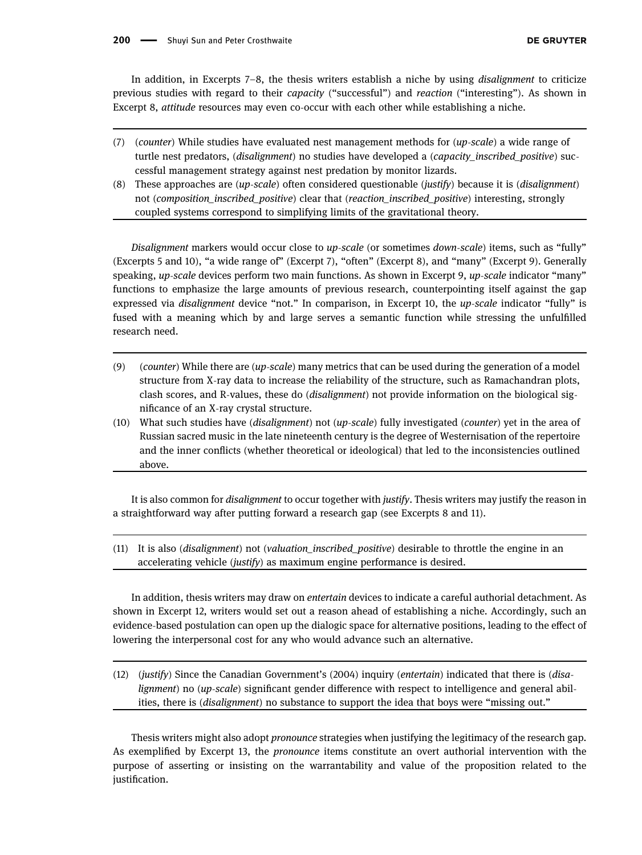In addition, in Excerpts 7–8, the thesis writers establish a niche by using disalignment to criticize previous studies with regard to their capacity ("successful") and reaction ("interesting"). As shown in Excerpt 8, attitude resources may even co-occur with each other while establishing a niche.

- (7) (counter) While studies have evaluated nest management methods for (up-scale) a wide range of turtle nest predators, (disalignment) no studies have developed a (capacity inscribed positive) successful management strategy against nest predation by monitor lizards.
- (8) These approaches are  $(up-scale)$  often considered questionable (justify) because it is (*disalignment*) not (composition inscribed positive) clear that (reaction inscribed positive) interesting, strongly coupled systems correspond to simplifying limits of the gravitational theory.

Disalignment markers would occur close to up-scale (or sometimes down-scale) items, such as "fully" (Excerpts 5 and 10), "a wide range of" (Excerpt 7), "often" (Excerpt 8), and "many" (Excerpt 9). Generally speaking, up-scale devices perform two main functions. As shown in Excerpt 9, up-scale indicator "many" functions to emphasize the large amounts of previous research, counterpointing itself against the gap expressed via *disalignment* device "not." In comparison, in Excerpt 10, the up-scale indicator "fully" is fused with a meaning which by and large serves a semantic function while stressing the unfulfilled research need.

- (9) (counter) While there are (up-scale) many metrics that can be used during the generation of a model structure from X-ray data to increase the reliability of the structure, such as Ramachandran plots, clash scores, and R-values, these do (disalignment) not provide information on the biological significance of an X-ray crystal structure.
- (10) What such studies have (disalignment) not (up-scale) fully investigated (counter) yet in the area of Russian sacred music in the late nineteenth century is the degree of Westernisation of the repertoire and the inner conflicts (whether theoretical or ideological) that led to the inconsistencies outlined above.

It is also common for disalignment to occur together with justify. Thesis writers may justify the reason in a straightforward way after putting forward a research gap (see Excerpts 8 and 11).

 $(11)$  It is also *(disalignment)* not *(valuation inscribed positive)* desirable to throttle the engine in an accelerating vehicle (justify) as maximum engine performance is desired.

In addition, thesis writers may draw on *entertain* devices to indicate a careful authorial detachment. As shown in Excerpt 12, writers would set out a reason ahead of establishing a niche. Accordingly, such an evidence-based postulation can open up the dialogic space for alternative positions, leading to the effect of lowering the interpersonal cost for any who would advance such an alternative.

 $(12)$  (justify) Since the Canadian Government's (2004) inquiry (*entertain*) indicated that there is (*disa*lignment) no (up-scale) significant gender difference with respect to intelligence and general abilities, there is (disalignment) no substance to support the idea that boys were "missing out."

Thesis writers might also adopt pronounce strategies when justifying the legitimacy of the research gap. As exemplified by Excerpt 13, the pronounce items constitute an overt authorial intervention with the purpose of asserting or insisting on the warrantability and value of the proposition related to the justification.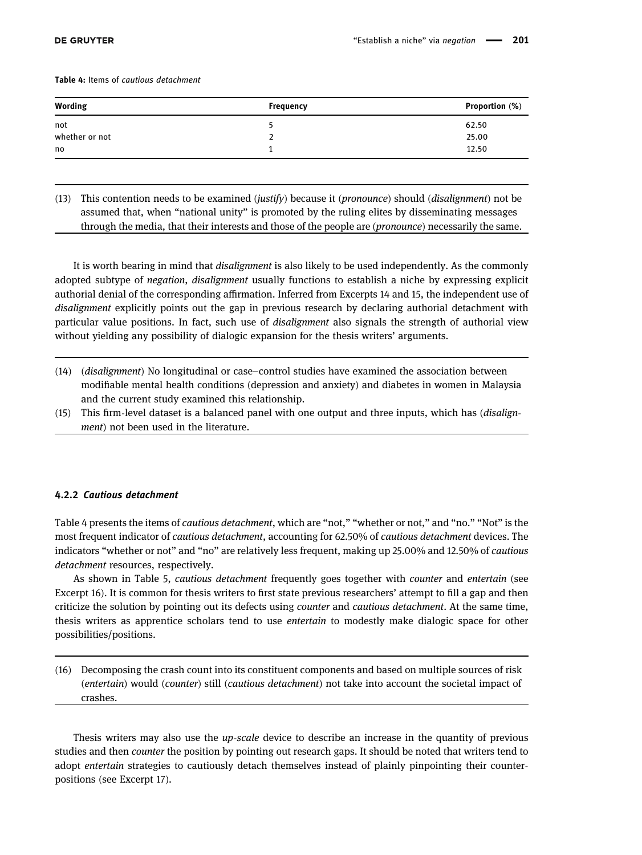<span id="page-12-0"></span>Table 4: Items of cautious detachment

| Wording        | Frequency | Proportion (%) |
|----------------|-----------|----------------|
| not            |           | 62.50          |
| whether or not |           | 25.00          |
| no             |           | 12.50          |
|                |           |                |

(13) This contention needs to be examined (justify) because it (pronounce) should (disalignment) not be assumed that, when "national unity" is promoted by the ruling elites by disseminating messages through the media, that their interests and those of the people are (pronounce) necessarily the same.

It is worth bearing in mind that disalignment is also likely to be used independently. As the commonly adopted subtype of negation, disalignment usually functions to establish a niche by expressing explicit authorial denial of the corresponding affirmation. Inferred from Excerpts 14 and 15, the independent use of disalignment explicitly points out the gap in previous research by declaring authorial detachment with particular value positions. In fact, such use of *disalignment* also signals the strength of authorial view without yielding any possibility of dialogic expansion for the thesis writers' arguments.

- (14) (disalignment) No longitudinal or case–control studies have examined the association between modifiable mental health conditions (depression and anxiety) and diabetes in women in Malaysia and the current study examined this relationship.
- (15) This firm-level dataset is a balanced panel with one output and three inputs, which has (disalignment) not been used in the literature.

#### 4.2.2 Cautious detachment

[Table 4](#page-12-0) presents the items of cautious detachment, which are "not," "whether or not," and "no." "Not" is the most frequent indicator of cautious detachment, accounting for 62.50% of cautious detachment devices. The indicators "whether or not" and "no" are relatively less frequent, making up 25.00% and 12.50% of cautious detachment resources, respectively.

As shown in [Table 5,](#page-13-0) cautious detachment frequently goes together with counter and entertain (see Excerpt 16). It is common for thesis writers to first state previous researchers' attempt to fill a gap and then criticize the solution by pointing out its defects using counter and cautious detachment. At the same time, thesis writers as apprentice scholars tend to use entertain to modestly make dialogic space for other possibilities/positions.

(16) Decomposing the crash count into its constituent components and based on multiple sources of risk (entertain) would (counter) still (cautious detachment) not take into account the societal impact of crashes.

Thesis writers may also use the up-scale device to describe an increase in the quantity of previous studies and then *counter* the position by pointing out research gaps. It should be noted that writers tend to adopt entertain strategies to cautiously detach themselves instead of plainly pinpointing their counterpositions (see Excerpt 17).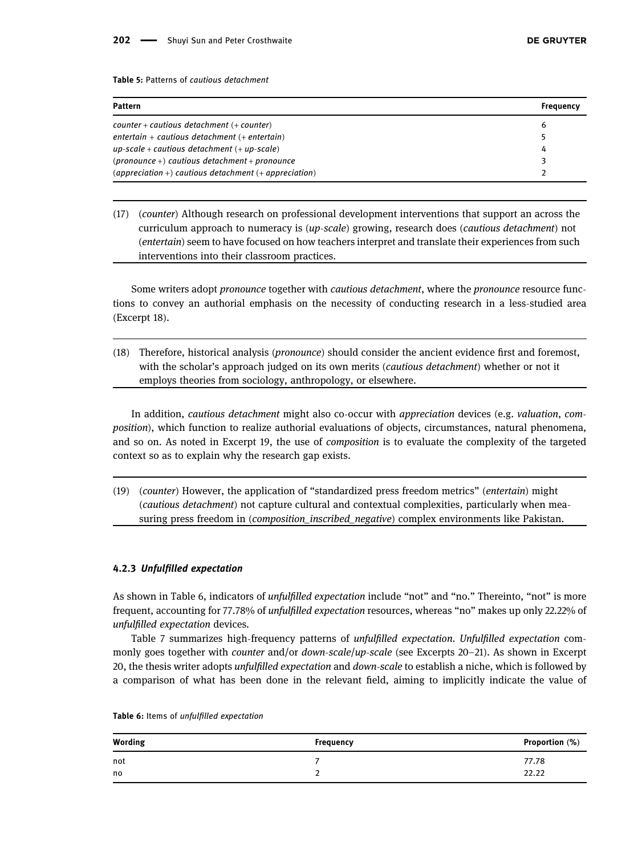<span id="page-13-0"></span>Table 5: Patterns of cautious detachment

| Pattern                                                | Freauency |
|--------------------------------------------------------|-----------|
| $counter + cautious$ detachment $(+ counter)$          | ь         |
| entertain + cautious detachment $($ + entertain $)$    |           |
| $up-scale + cautious detachment (+ up-scale)$          | 4         |
| $(pronounce+)$ cautious detachment + pronounce         |           |
| $apprecision +$ cautious detachment $(+$ appreciation) |           |

(17) (counter) Although research on professional development interventions that support an across the curriculum approach to numeracy is (up-scale) growing, research does (cautious detachment) not (entertain) seem to have focused on how teachers interpret and translate their experiences from such interventions into their classroom practices.

Some writers adopt pronounce together with cautious detachment, where the pronounce resource functions to convey an authorial emphasis on the necessity of conducting research in a less-studied area (Excerpt 18).

(18) Therefore, historical analysis (pronounce) should consider the ancient evidence first and foremost, with the scholar's approach judged on its own merits (*cautious detachment*) whether or not it employs theories from sociology, anthropology, or elsewhere.

In addition, cautious detachment might also co-occur with appreciation devices (e.g. valuation, composition), which function to realize authorial evaluations of objects, circumstances, natural phenomena, and so on. As noted in Excerpt 19, the use of composition is to evaluate the complexity of the targeted context so as to explain why the research gap exists.

(19) (counter) However, the application of "standardized press freedom metrics" (entertain) might (cautious detachment) not capture cultural and contextual complexities, particularly when measuring press freedom in (composition\_inscribed\_negative) complex environments like Pakistan.

#### 4.2.3 Unfulfilled expectation

As shown in [Table 6,](#page-13-1) indicators of *unfulfilled expectation* include "not" and "no." Thereinto, "not" is more frequent, accounting for 77.78% of unfulfilled expectation resources, whereas "no" makes up only 22.22% of unfulfilled expectation devices.

[Table 7](#page-14-0) summarizes high-frequency patterns of unfulfilled expectation. Unfulfilled expectation commonly goes together with counter and/or down-scale/up-scale (see Excerpts 20–21). As shown in Excerpt 20, the thesis writer adopts *unfulfilled expectation* and *down-scale* to establish a niche, which is followed by a comparison of what has been done in the relevant field, aiming to implicitly indicate the value of

| Wording | Frequency | Proportion (%) |
|---------|-----------|----------------|
| not     |           | 77.78          |
| no      |           | 22.22          |

<span id="page-13-1"></span>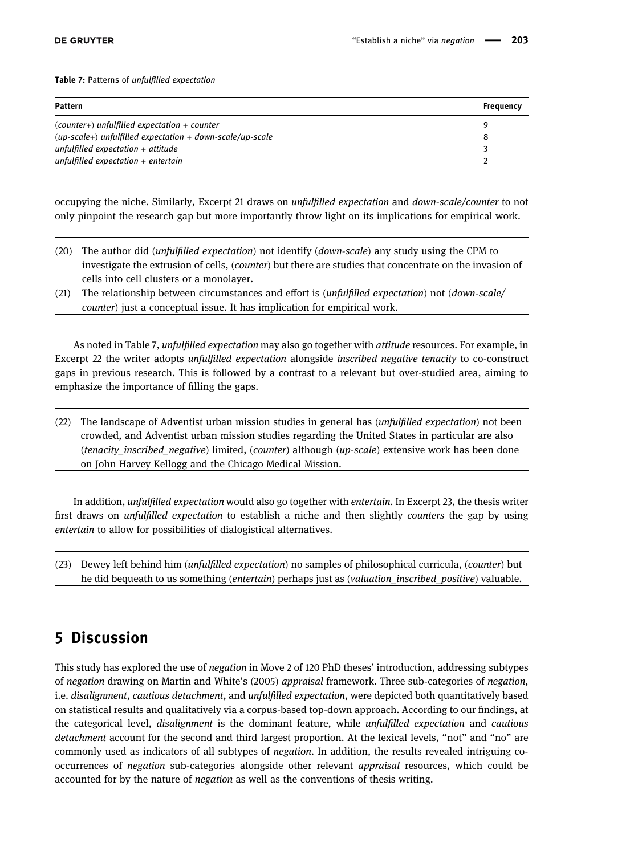<span id="page-14-0"></span>Table 7: Patterns of unfulfilled expectation

| <b>Pattern</b>                                              | <b>Frequency</b> |
|-------------------------------------------------------------|------------------|
| $(counter+)$ unfulfilled expectation + counter              | o                |
| $(up-scale+)$ unfulfilled expectation + down-scale/up-scale | 8                |
| unfulfilled expectation $+$ attitude                        |                  |
| unfulfilled expectation $+$ entertain                       |                  |

occupying the niche. Similarly, Excerpt 21 draws on unfulfilled expectation and down-scale/counter to not only pinpoint the research gap but more importantly throw light on its implications for empirical work.

- (20) The author did (unfulfilled expectation) not identify (down-scale) any study using the CPM to investigate the extrusion of cells, (counter) but there are studies that concentrate on the invasion of cells into cell clusters or a monolayer.
- (21) The relationship between circumstances and effort is (*unfulfilled expectation*) not (*down-scale*/ counter) just a conceptual issue. It has implication for empirical work.

As noted in [Table 7](#page-14-0), unfulfilled expectation may also go together with attitude resources. For example, in Excerpt 22 the writer adopts unfulfilled expectation alongside inscribed negative tenacity to co-construct gaps in previous research. This is followed by a contrast to a relevant but over-studied area, aiming to emphasize the importance of filling the gaps.

(22) The landscape of Adventist urban mission studies in general has *(unfulfilled expectation)* not been crowded, and Adventist urban mission studies regarding the United States in particular are also (tenacity inscribed negative) limited, (counter) although (up-scale) extensive work has been done on John Harvey Kellogg and the Chicago Medical Mission.

In addition, unfulfilled expectation would also go together with entertain. In Excerpt 23, the thesis writer first draws on *unfulfilled expectation* to establish a niche and then slightly *counters* the gap by using entertain to allow for possibilities of dialogistical alternatives.

(23) Dewey left behind him (unfulfilled expectation) no samples of philosophical curricula, (counter) but he did bequeath to us something (entertain) perhaps just as (valuation\_inscribed\_positive) valuable.

# 5 Discussion

This study has explored the use of negation in Move 2 of 120 PhD theses' introduction, addressing subtypes of negation drawing on Martin and White's ([2005](#page-18-4)) appraisal framework. Three sub-categories of negation, i.e. disalignment, cautious detachment, and unfulfilled expectation, were depicted both quantitatively based on statistical results and qualitatively via a corpus-based top-down approach. According to our findings, at the categorical level, disalignment is the dominant feature, while unfulfilled expectation and cautious detachment account for the second and third largest proportion. At the lexical levels, "not" and "no" are commonly used as indicators of all subtypes of negation. In addition, the results revealed intriguing cooccurrences of negation sub-categories alongside other relevant appraisal resources, which could be accounted for by the nature of negation as well as the conventions of thesis writing.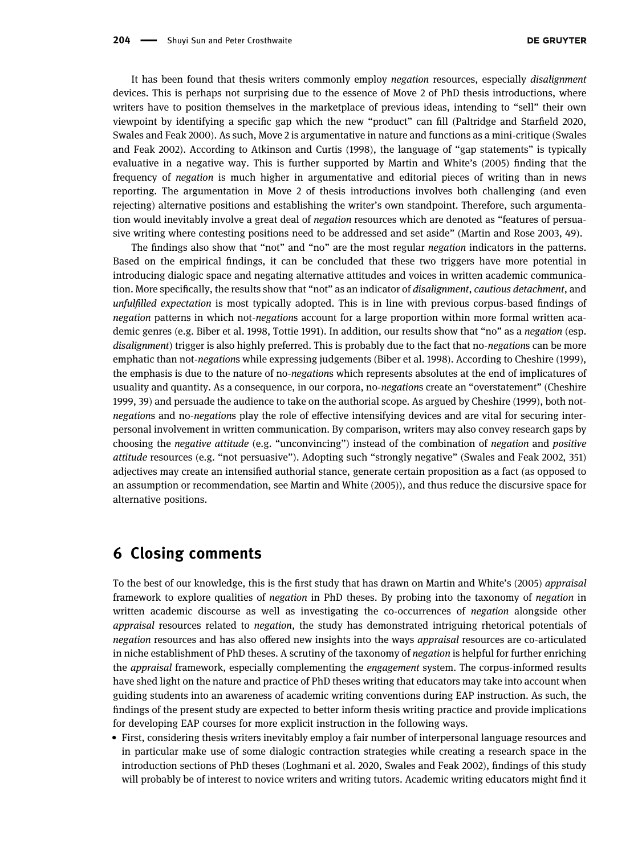It has been found that thesis writers commonly employ negation resources, especially disalignment devices. This is perhaps not surprising due to the essence of Move 2 of PhD thesis introductions, where writers have to position themselves in the marketplace of previous ideas, intending to "sell" their own viewpoint by identifying a specific gap which the new "product" can fill (Paltridge and Starfield [2020](#page-18-0), Swales and Feak [2000](#page-19-15)). As such, Move 2 is argumentative in nature and functions as a mini-critique (Swales and Feak [2002](#page-19-1)). According to Atkinson and Curtis ([1998](#page-17-16)), the language of "gap statements" is typically evaluative in a negative way. This is further supported by Martin and White's ([2005](#page-18-4)) finding that the frequency of negation is much higher in argumentative and editorial pieces of writing than in news reporting. The argumentation in Move 2 of thesis introductions involves both challenging (and even rejecting) alternative positions and establishing the writer's own standpoint. Therefore, such argumentation would inevitably involve a great deal of *negation* resources which are denoted as "features of persuasive writing where contesting positions need to be addressed and set aside" (Martin and Rose [2003,](#page-18-27) 49).

The findings also show that "not" and "no" are the most regular negation indicators in the patterns. Based on the empirical findings, it can be concluded that these two triggers have more potential in introducing dialogic space and negating alternative attitudes and voices in written academic communication. More specifically, the results show that "not" as an indicator of disalignment, cautious detachment, and unfulfilled expectation is most typically adopted. This is in line with previous corpus-based findings of negation patterns in which not-negations account for a large proportion within more formal written aca-demic genres (e.g. Biber et al. [1998](#page-17-17), Tottie [1991](#page-19-16)). In addition, our results show that "no" as a negation (esp. disalignment) trigger is also highly preferred. This is probably due to the fact that no-negations can be more emphatic than not-negations while expressing judgements (Biber et al. [1998](#page-17-17)). According to Cheshire ([1999](#page-17-18)), the emphasis is due to the nature of no-negations which represents absolutes at the end of implicatures of usuality and quantity. As a consequence, in our corpora, no-negations create an "overstatement" (Cheshire [1999,](#page-17-18) 39) and persuade the audience to take on the authorial scope. As argued by Cheshire ([1999](#page-17-18)), both notnegations and no-negations play the role of effective intensifying devices and are vital for securing interpersonal involvement in written communication. By comparison, writers may also convey research gaps by choosing the negative attitude (e.g. "unconvincing") instead of the combination of negation and positive attitude resources (e.g. "not persuasive"). Adopting such "strongly negative" (Swales and Feak [2002](#page-19-1), 351) adjectives may create an intensified authorial stance, generate certain proposition as a fact (as opposed to an assumption or recommendation, see Martin and White ([2005](#page-18-4))), and thus reduce the discursive space for alternative positions.

# 6 Closing comments

To the best of our knowledge, this is the first study that has drawn on Martin and White's ([2005](#page-18-4)) appraisal framework to explore qualities of negation in PhD theses. By probing into the taxonomy of negation in written academic discourse as well as investigating the co-occurrences of negation alongside other appraisal resources related to negation, the study has demonstrated intriguing rhetorical potentials of negation resources and has also offered new insights into the ways appraisal resources are co-articulated in niche establishment of PhD theses. A scrutiny of the taxonomy of *negation* is helpful for further enriching the *appraisal* framework, especially complementing the *engagement* system. The corpus-informed results have shed light on the nature and practice of PhD theses writing that educators may take into account when guiding students into an awareness of academic writing conventions during EAP instruction. As such, the findings of the present study are expected to better inform thesis writing practice and provide implications for developing EAP courses for more explicit instruction in the following ways.

• First, considering thesis writers inevitably employ a fair number of interpersonal language resources and in particular make use of some dialogic contraction strategies while creating a research space in the introduction sections of PhD theses (Loghmani et al. [2020,](#page-18-3) Swales and Feak [2002](#page-19-1)), findings of this study will probably be of interest to novice writers and writing tutors. Academic writing educators might find it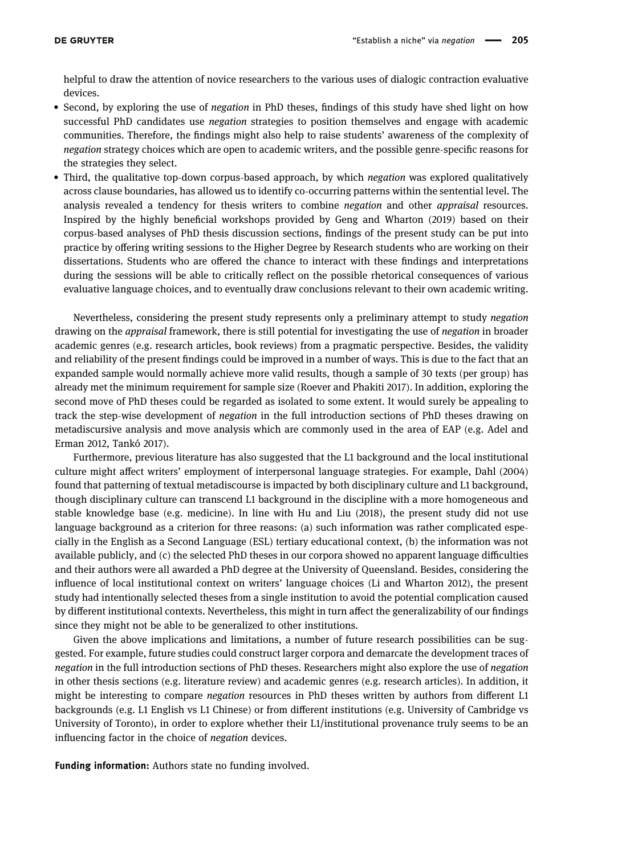helpful to draw the attention of novice researchers to the various uses of dialogic contraction evaluative devices.

- Second, by exploring the use of negation in PhD theses, findings of this study have shed light on how successful PhD candidates use negation strategies to position themselves and engage with academic communities. Therefore, the findings might also help to raise students' awareness of the complexity of negation strategy choices which are open to academic writers, and the possible genre-specific reasons for the strategies they select.
- Third, the qualitative top-down corpus-based approach, by which negation was explored qualitatively across clause boundaries, has allowed us to identify co-occurring patterns within the sentential level. The analysis revealed a tendency for thesis writers to combine negation and other appraisal resources. Inspired by the highly beneficial workshops provided by Geng and Wharton ([2019](#page-18-30)) based on their corpus-based analyses of PhD thesis discussion sections, findings of the present study can be put into practice by offering writing sessions to the Higher Degree by Research students who are working on their dissertations. Students who are offered the chance to interact with these findings and interpretations during the sessions will be able to critically reflect on the possible rhetorical consequences of various evaluative language choices, and to eventually draw conclusions relevant to their own academic writing.

Nevertheless, considering the present study represents only a preliminary attempt to study negation drawing on the *appraisal* framework, there is still potential for investigating the use of negation in broader academic genres (e.g. research articles, book reviews) from a pragmatic perspective. Besides, the validity and reliability of the present findings could be improved in a number of ways. This is due to the fact that an expanded sample would normally achieve more valid results, though a sample of 30 texts (per group) has already met the minimum requirement for sample size (Roever and Phakiti [2017](#page-19-17)). In addition, exploring the second move of PhD theses could be regarded as isolated to some extent. It would surely be appealing to track the step-wise development of negation in the full introduction sections of PhD theses drawing on metadiscursive analysis and move analysis which are commonly used in the area of EAP (e.g. Adel and Erman [2012,](#page-17-19) Tankó [2017](#page-19-18)).

Furthermore, previous literature has also suggested that the L1 background and the local institutional culture might affect writers' employment of interpersonal language strategies. For example, Dahl ([2004](#page-17-20)) found that patterning of textual metadiscourse is impacted by both disciplinary culture and L1 background, though disciplinary culture can transcend L1 background in the discipline with a more homogeneous and stable knowledge base (e.g. medicine). In line with Hu and Liu ([2018](#page-18-33)), the present study did not use language background as a criterion for three reasons: (a) such information was rather complicated especially in the English as a Second Language (ESL) tertiary educational context, (b) the information was not available publicly, and (c) the selected PhD theses in our corpora showed no apparent language difficulties and their authors were all awarded a PhD degree at the University of Queensland. Besides, considering the influence of local institutional context on writers' language choices (Li and Wharton [2012](#page-18-34)), the present study had intentionally selected theses from a single institution to avoid the potential complication caused by different institutional contexts. Nevertheless, this might in turn affect the generalizability of our findings since they might not be able to be generalized to other institutions.

Given the above implications and limitations, a number of future research possibilities can be suggested. For example, future studies could construct larger corpora and demarcate the development traces of negation in the full introduction sections of PhD theses. Researchers might also explore the use of negation in other thesis sections (e.g. literature review) and academic genres (e.g. research articles). In addition, it might be interesting to compare negation resources in PhD theses written by authors from different L1 backgrounds (e.g. L1 English vs L1 Chinese) or from different institutions (e.g. University of Cambridge vs University of Toronto), in order to explore whether their L1/institutional provenance truly seems to be an influencing factor in the choice of negation devices.

Funding information: Authors state no funding involved.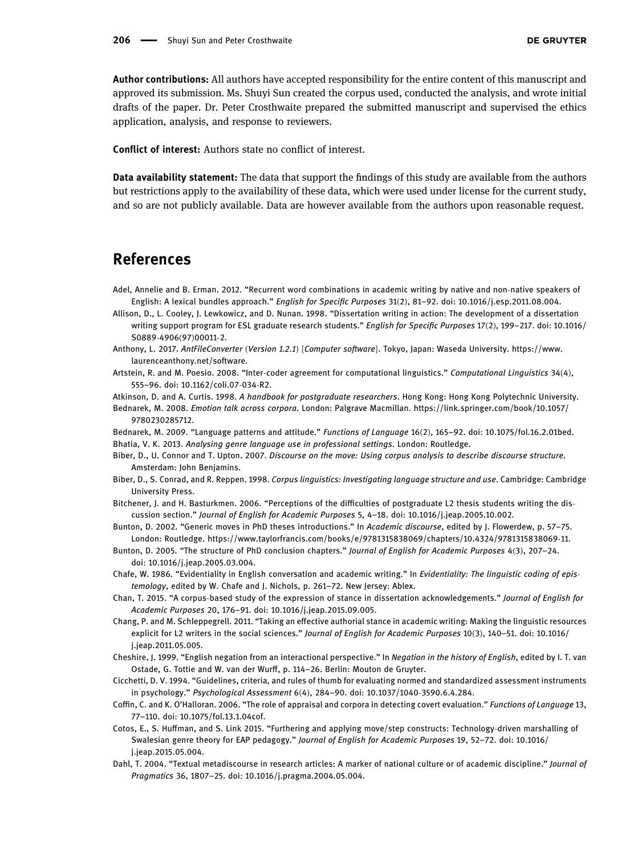Author contributions: All authors have accepted responsibility for the entire content of this manuscript and approved its submission. Ms. Shuyi Sun created the corpus used, conducted the analysis, and wrote initial drafts of the paper. Dr. Peter Crosthwaite prepared the submitted manuscript and supervised the ethics application, analysis, and response to reviewers.

Conflict of interest: Authors state no conflict of interest.

Data availability statement: The data that support the findings of this study are available from the authors but restrictions apply to the availability of these data, which were used under license for the current study, and so are not publicly available. Data are however available from the authors upon reasonable request.

# References

- <span id="page-17-19"></span>Adel, Annelie and B. Erman. 2012. "Recurrent word combinations in academic writing by native and non-native speakers of English: A lexical bundles approach." English for Specific Purposes 31(2), 81–92. doi: 10.1016/j.esp.2011.08.004.
- <span id="page-17-0"></span>Allison, D., L. Cooley, J. Lewkowicz, and D. Nunan. 1998. "Dissertation writing in action: The development of a dissertation writing support program for ESL graduate research students." English for Specific Purposes 17(2), 199-217. doi: 10.1016/ S0889-4906(97)00011-2.
- <span id="page-17-8"></span>Anthony, L. 2017. AntFileConverter (Version 1.2.1) [Computer software]. Tokyo, Japan: Waseda University. [https://www.](https://www.laurenceanthony.net/software) [laurenceanthony.net/software.](https://www.laurenceanthony.net/software)
- <span id="page-17-13"></span>Artstein, R. and M. Poesio. 2008. "Inter-coder agreement for computational linguistics." Computational Linguistics 34(4), 555–96. doi: 10.1162/coli.07-034-R2.

<span id="page-17-16"></span>Atkinson, D. and A. Curtis. 1998. A handbook for postgraduate researchers. Hong Kong: Hong Kong Polytechnic University.

<span id="page-17-11"></span>Bednarek, M. 2008. Emotion talk across corpora. London: Palgrave Macmillan. [https://link.springer.com/book/10.1057/](https://link.springer.com/book/10.1057/9780230285712) [9780230285712.](https://link.springer.com/book/10.1057/9780230285712)

<span id="page-17-12"></span>Bednarek, M. 2009. "Language patterns and attitude." Functions of Language 16(2), 165–92. doi: 10.1075/fol.16.2.01bed.

<span id="page-17-4"></span>Bhatia, V. K. 2013. Analysing genre language use in professional settings. London: Routledge.

- <span id="page-17-9"></span>Biber, D., U. Connor and T. Upton. 2007. Discourse on the move: Using corpus analysis to describe discourse structure. Amsterdam: John Benjamins.
- <span id="page-17-17"></span>Biber, D., S. Conrad, and R. Reppen. 1998. Corpus linguistics: Investigating language structure and use. Cambridge: Cambridge University Press.
- <span id="page-17-5"></span>Bitchener, J. and H. Basturkmen. 2006. "Perceptions of the difficulties of postgraduate L2 thesis students writing the discussion section." Journal of English for Academic Purposes 5, 4–18. doi: 10.1016/j.jeap.2005.10.002.
- <span id="page-17-1"></span>Bunton, D. 2002. "Generic moves in PhD theses introductions." In Academic discourse, edited by J. Flowerdew, p. 57–75. London: Routledge. [https://www.taylorfrancis.com/books/e/9781315838069/chapters/10.4324/9781315838069](https://www.taylorfrancis.com/books/e/9781315838069/chapters/10.4324/9781315838069-11)-11.
- <span id="page-17-2"></span>Bunton, D. 2005. "The structure of PhD conclusion chapters." Journal of English for Academic Purposes 4(3), 207–24. doi: 10.1016/j.jeap.2005.03.004.
- <span id="page-17-6"></span>Chafe, W. 1986. "Evidentiality in English conversation and academic writing." In Evidentiality: The linguistic coding of epistemology, edited by W. Chafe and J. Nichols, p. 261–72. New Jersey: Ablex.
- <span id="page-17-3"></span>Chan, T. 2015. "A corpus-based study of the expression of stance in dissertation acknowledgements." Journal of English for Academic Purposes 20, 176–91. doi: 10.1016/j.jeap.2015.09.005.
- <span id="page-17-7"></span>Chang, P. and M. Schleppegrell. 2011. "Taking an effective authorial stance in academic writing: Making the linguistic resources explicit for L2 writers in the social sciences." Journal of English for Academic Purposes 10(3), 140–51. doi: 10.1016/ j.jeap.2011.05.005.
- <span id="page-17-18"></span>Cheshire, J. 1999. "English negation from an interactional perspective." In Negation in the history of English, edited by I. T. van Ostade, G. Tottie and W. van der Wurff, p. 114–26. Berlin: Mouton de Gruyter.
- <span id="page-17-15"></span>Cicchetti, D. V. 1994. "Guidelines, criteria, and rules of thumb for evaluating normed and standardized assessment instruments in psychology." Psychological Assessment 6(4), 284–90. doi: 10.1037/1040-3590.6.4.284.
- <span id="page-17-14"></span>Coffin, C. and K. O'Halloran. 2006. "The role of appraisal and corpora in detecting covert evaluation." Functions of Language 13, 77–110. doi: 10.1075/fol.13.1.04cof.
- <span id="page-17-10"></span>Cotos, E., S. Huffman, and S. Link 2015. "Furthering and applying move/step constructs: Technology-driven marshalling of Swalesian genre theory for EAP pedagogy." Journal of English for Academic Purposes 19, 52–72. doi: 10.1016/ j.jeap.2015.05.004.
- <span id="page-17-20"></span>Dahl, T. 2004. "Textual metadiscourse in research articles: A marker of national culture or of academic discipline." Journal of Pragmatics 36, 1807–25. doi: 10.1016/j.pragma.2004.05.004.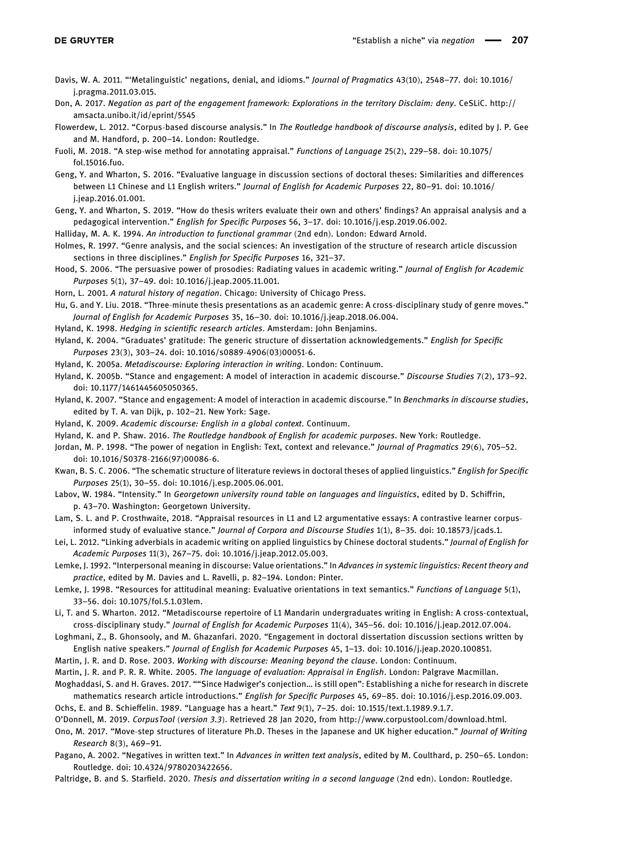- <span id="page-18-16"></span>Davis, W. A. 2011. "'Metalinguistic' negations, denial, and idioms." Journal of Pragmatics 43(10), 2548–77. doi: 10.1016/ j.pragma.2011.03.015.
- <span id="page-18-20"></span>Don, A. 2017. Negation as part of the engagement framework: Explorations in the territory Disclaim: deny. CeSLiC. [http://](http://amsacta.unibo.it/id/eprint/5545) [amsacta.unibo.it/id/eprint/5545](http://amsacta.unibo.it/id/eprint/5545)
- <span id="page-18-28"></span>Flowerdew, L. 2012. "Corpus-based discourse analysis." In The Routledge handbook of discourse analysis, edited by J. P. Gee and M. Handford, p. 200–14. London: Routledge.
- <span id="page-18-15"></span>Fuoli, M. 2018. "A step-wise method for annotating appraisal." Functions of Language 25(2), 229–58. doi: 10.1075/ fol.15016.fuo.
- <span id="page-18-14"></span>Geng, Y. and Wharton, S. 2016. "Evaluative language in discussion sections of doctoral theses: Similarities and differences between L1 Chinese and L1 English writers." Journal of English for Academic Purposes 22, 80–91. doi: 10.1016/ j.jeap.2016.01.001.
- <span id="page-18-30"></span>Geng, Y. and Wharton, S. 2019. "How do thesis writers evaluate their own and others' findings? An appraisal analysis and a pedagogical intervention." English for Specific Purposes 56, 3–17. doi: 10.1016/j.esp.2019.06.002.
- <span id="page-18-19"></span>Halliday, M. A. K. 1994. An introduction to functional grammar (2nd edn). London: Edward Arnold.
- <span id="page-18-13"></span>Holmes, R. 1997. "Genre analysis, and the social sciences: An investigation of the structure of research article discussion sections in three disciplines." English for Specific Purposes 16, 321–37.
- <span id="page-18-5"></span>Hood, S. 2006. "The persuasive power of prosodies: Radiating values in academic writing." Journal of English for Academic Purposes 5(1), 37–49. doi: 10.1016/j.jeap.2005.11.001.
- <span id="page-18-31"></span>Horn, L. 2001. A natural history of negation. Chicago: University of Chicago Press.
- <span id="page-18-33"></span>Hu, G. and Y. Liu. 2018. "Three-minute thesis presentations as an academic genre: A cross-disciplinary study of genre moves." Journal of English for Academic Purposes 35, 16–30. doi: 10.1016/j.jeap.2018.06.004.
- <span id="page-18-23"></span>Hyland, K. 1998. Hedging in scientific research articles. Amsterdam: John Benjamins.
- <span id="page-18-11"></span>Hyland, K. 2004. "Graduates' gratitude: The generic structure of dissertation acknowledgements." English for Specific Purposes 23(3), 303–24. doi: 10.1016/s0889-4906(03)00051-6.
- <span id="page-18-21"></span>Hyland, K. 2005a. Metadiscourse: Exploring interaction in writing. London: Continuum.
- <span id="page-18-1"></span>Hyland, K. 2005b. "Stance and engagement: A model of interaction in academic discourse." Discourse Studies 7(2), 173–92. doi: 10.1177/1461445605050365.
- <span id="page-18-2"></span>Hyland, K. 2007. "Stance and engagement: A model of interaction in academic discourse." In Benchmarks in discourse studies, edited by T. A. van Dijk, p. 102–21. New York: Sage.
- <span id="page-18-8"></span>Hyland, K. 2009. Academic discourse: English in a global context. Continuum.
- <span id="page-18-6"></span>Hyland, K. and P. Shaw. 2016. The Routledge handbook of English for academic purposes. New York: Routledge.
- <span id="page-18-17"></span>Jordan, M. P. 1998. "The power of negation in English: Text, context and relevance." Journal of Pragmatics 29(6), 705-52. doi: 10.1016/S0378-2166(97)00086-6.
- <span id="page-18-10"></span>Kwan, B. S. C. 2006. "The schematic structure of literature reviews in doctoral theses of applied linguistics." English for Specific Purposes 25(1), 30–55. doi: 10.1016/j.esp.2005.06.001.
- <span id="page-18-22"></span>Labov, W. 1984. "Intensity." In Georgetown university round table on languages and linguistics, edited by D. Schiffrin, p. 43–70. Washington: Georgetown University.
- <span id="page-18-29"></span>Lam, S. L. and P. Crosthwaite, 2018. "Appraisal resources in L1 and L2 argumentative essays: A contrastive learner corpusinformed study of evaluative stance." Journal of Corpora and Discourse Studies 1(1), 8–35. doi: 10.18573/jcads.1.
- <span id="page-18-12"></span>Lei, L. 2012. "Linking adverbials in academic writing on applied linguistics by Chinese doctoral students." Journal of English for Academic Purposes 11(3), 267–75. doi: 10.1016/j.jeap.2012.05.003.
- <span id="page-18-25"></span>Lemke, J. 1992. "Interpersonal meaning in discourse: Value orientations." In Advances in systemic linguistics: Recent theory and practice, edited by M. Davies and L. Ravelli, p. 82–194. London: Pinter.
- <span id="page-18-26"></span>Lemke, J. 1998. "Resources for attitudinal meaning: Evaluative orientations in text semantics." Functions of Language 5(1), 33–56. doi: 10.1075/fol.5.1.03lem.
- <span id="page-18-34"></span>Li, T. and S. Wharton. 2012. "Metadiscourse repertoire of L1 Mandarin undergraduates writing in English: A cross-contextual, cross-disciplinary study." Journal of English for Academic Purposes 11(4), 345–56. doi: 10.1016/j.jeap.2012.07.004.
- <span id="page-18-3"></span>Loghmani, Z., B. Ghonsooly, and M. Ghazanfari. 2020. "Engagement in doctoral dissertation discussion sections written by English native speakers." Journal of English for Academic Purposes 45, 1–13. doi: 10.1016/j.jeap.2020.100851.
- <span id="page-18-27"></span>Martin, J. R. and D. Rose. 2003. Working with discourse: Meaning beyond the clause. London: Continuum.
- <span id="page-18-4"></span>Martin, J. R. and P. R. R. White. 2005. The language of evaluation: Appraisal in English. London: Palgrave Macmillan.
- <span id="page-18-7"></span>Moghaddasi, S. and H. Graves. 2017. ""Since Hadwiger's conjection… is still open": Establishing a niche for research in discrete mathematics research article introductions." English for Specific Purposes 45, 69–85. doi: 10.1016/j.esp.2016.09.003.
- <span id="page-18-24"></span>Ochs, E. and B. Schieffelin. 1989. "Language has a heart." Text 9(1), 7–25. doi: 10.1515/text.1.1989.9.1.7.
- <span id="page-18-32"></span>O'Donnell, M. 2019. CorpusTool (version 3.3). Retrieved 28 Jan 2020, from<http://www.corpustool.com/download.html>.
- <span id="page-18-9"></span>Ono, M. 2017. "Move-step structures of literature Ph.D. Theses in the Japanese and UK higher education." Journal of Writing Research 8(3), 469–91.
- <span id="page-18-18"></span>Pagano, A. 2002. "Negatives in written text." In Advances in written text analysis, edited by M. Coulthard, p. 250–65. London: Routledge. doi: 10.4324/9780203422656.
- <span id="page-18-0"></span>Paltridge, B. and S. Starfield. 2020. Thesis and dissertation writing in a second language (2nd edn). London: Routledge.